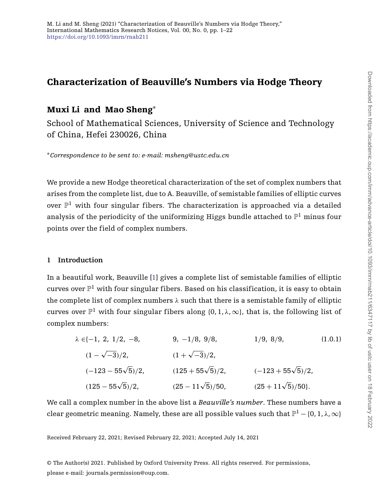# **Characterization of Beauville's Numbers via Hodge Theory**

## **Muxi Li and Mao Sheng**<sup>∗</sup>

School of Mathematical Sciences, University of Science and Technology of China, Hefei 230026, China

<sup>∗</sup>*Correspondence to be sent to: e-mail: msheng@ustc.edu.cn*

We provide a new Hodge theoretical characterization of the set of complex numbers that arises from the complete list, due to A. Beauville, of semistable families of elliptic curves over  $\mathbb{P}^1$  with four singular fibers. The characterization is approached via a detailed analysis of the periodicity of the uniformizing Higgs bundle attached to  $\mathbb{P}^1$  minus four points over the field of complex numbers.

## **1 Introduction**

In a beautiful work, Beauville [\[1\]](#page-20-0) gives a complete list of semistable families of elliptic curves over  $\mathbb{P}^1$  with four singular fibers. Based on his classification, it is easy to obtain the complete list of complex numbers *λ* such that there is a semistable family of elliptic curves over  $\mathbb{P}^1$  with four singular fibers along  $\{0, 1, \lambda, \infty\}$ , that is, the following list of complex numbers:

<span id="page-0-0"></span>
$$
\lambda \in \{-1, 2, 1/2, -8,
$$
  
\n $(1 - \sqrt{-3})/2,$   
\n $(-123 - 55\sqrt{5})/2,$   
\n $(125 - 55\sqrt{5})/2,$   
\n $(25 - 11\sqrt{5})/50,$   
\n $(25 + 11\sqrt{5})/50$  (25 + 11 $\sqrt{5}$ )/50.

We call a complex number in the above list a *Beauville's number*. These numbers have a clear geometric meaning. Namely, these are all possible values such that  $\mathbb{P}^1 - \{0, 1, \lambda, \infty\}$ 

Received February 22, 2021; Revised February 22, 2021; Accepted July 14, 2021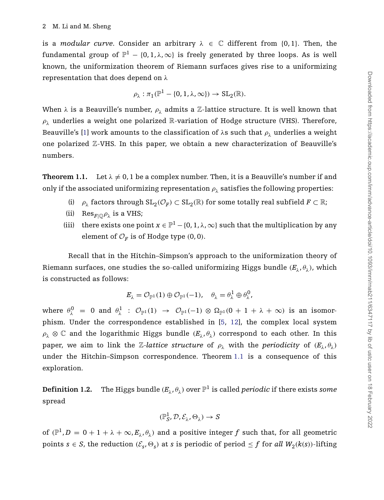is a *modular curve*. Consider an arbitrary  $\lambda \in \mathbb{C}$  different from {0,1}. Then, the fundamental group of  $\mathbb{P}^1 - \{0, 1, \lambda, \infty\}$  is freely generated by three loops. As is well known, the uniformization theorem of Riemann surfaces gives rise to a uniformizing representation that does depend on *λ*

$$
\rho_{\lambda} : \pi_1(\mathbb{P}^1 - \{0, 1, \lambda, \infty\}) \to SL_2(\mathbb{R}).
$$

When  $\lambda$  is a Beauville's number,  $\rho_{\lambda}$  admits a Z-lattice structure. It is well known that  $\rho_{\lambda}$  underlies a weight one polarized  $\mathbb R$ -variation of Hodge structure (VHS). Therefore, Beauville's [\[1\]](#page-20-0) work amounts to the classification of  $\lambda$ s such that  $\rho_{\lambda}$  underlies a weight one polarized Z-VHS. In this paper, we obtain a new characterization of Beauville's numbers.

<span id="page-1-0"></span>**Theorem 1.1.** Let  $\lambda \neq 0$ , 1 be a complex number. Then, it is a Beauville's number if and only if the associated uniformizing representation  $\rho_{\lambda}$  satisfies the following properties:

- (i)  $\rho_{\lambda}$  factors through  $SL_2(\mathcal{O}_F) \subset SL_2(\mathbb{R})$  for some totally real subfield  $F \subset \mathbb{R}$ ;
- (ii) Res<sub>*F*| $\oplus$  $\rho_{\lambda}$ </sub> is a VHS;
- (iii) there exists one point  $x \in \mathbb{P}^1 \{0, 1, \lambda, \infty\}$  such that the multiplication by any element of  $\mathcal{O}_F$  is of Hodge type  $(0, 0)$ .

Recall that in the Hitchin–Simpson's approach to the uniformization theory of Riemann surfaces, one studies the so-called uniformizing Higgs bundle  $(E_{\lambda}, \theta_{\lambda})$ , which is constructed as follows:

$$
E_{\lambda} = \mathcal{O}_{\mathbb{P}^1}(1) \oplus \mathcal{O}_{\mathbb{P}^1}(-1), \quad \theta_{\lambda} = \theta_{\lambda}^1 \oplus \theta_{\lambda}^0,
$$

where  $\theta_{\lambda}^{0} = 0$  and  $\theta_{\lambda}^{1}$  :  $\mathcal{O}_{\mathbb{P}^{1}}(1) \rightarrow \mathcal{O}_{\mathbb{P}^{1}}(-1) \otimes \Omega_{\mathbb{P}^{1}}(0 + 1 + \lambda + \infty)$  is an isomorphism. Under the correspondence established in [\[5,](#page-21-0) [12\]](#page-21-1), the complex local system  $\rho_{\lambda} \otimes \mathbb{C}$  and the logarithmic Higgs bundle  $(E_{\lambda}, \theta_{\lambda})$  correspond to each other. In this paper, we aim to link the *Z*-*lattice structure* of  $\rho_{\lambda}$  with the *periodicity* of  $(E_{\lambda}, \theta_{\lambda})$ under the Hitchin–Simpson correspondence. Theorem [1.1](#page-1-0) is a consequence of this exploration.

**Definition 1.2.** The Higgs bundle  $(E_\lambda, \theta_\lambda)$  over  $\mathbb{P}^1$  is called *periodic* if there exists *some* spread

$$
(\mathbb{P}^1_S,\mathcal{D},\mathcal{E}_\lambda,\Theta_\lambda)\to S
$$

of  $(\mathbb{P}^1, D = 0 + 1 + \lambda + \infty, E_\lambda, \theta_\lambda)$  and a positive integer f such that, for all geometric points  $s \in S$ , the reduction  $(\mathcal{E}_s, \Theta_s)$  at *s* is periodic of period  $\leq f$  for *all*  $W_2(k(s))$ -lifting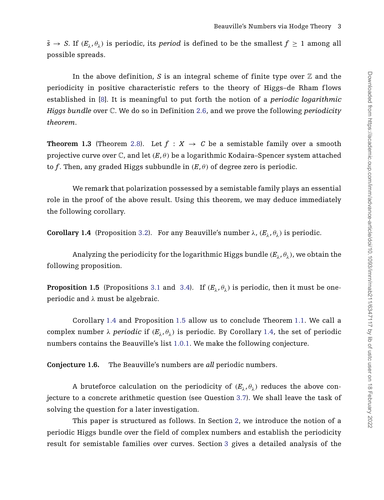$\tilde{s} \rightarrow S$ . If  $(E_{\lambda}, \theta_{\lambda})$  is periodic, its *period* is defined to be the smallest  $f \geq 1$  among all possible spreads.

In the above definition, *S* is an integral scheme of finite type over  $\mathbb Z$  and the periodicity in positive characteristic refers to the theory of Higgs–de Rham f lows established in [\[8\]](#page-21-2). It is meaningful to put forth the notion of a *periodic logarithmic Higgs bundle* over C. We do so in Definition [2.6,](#page-6-0) and we prove the following *periodicity theorem*.

**Theorem 1.3** (Theorem [2.8\)](#page-7-0). Let  $f : X \to C$  be a semistable family over a smooth projective curve over  $\mathbb{C}$ , and let  $(E, \theta)$  be a logarithmic Kodaira–Spencer system attached to *f*. Then, any graded Higgs subbundle in  $(E, \theta)$  of degree zero is periodic.

We remark that polarization possessed by a semistable family plays an essential role in the proof of the above result. Using this theorem, we may deduce immediately the following corollary.

<span id="page-2-0"></span>**Corollary 1.4** (Proposition [3.2\)](#page-11-0). For any Beauville's number  $\lambda$ ,  $(E_{\lambda}, \theta_{\lambda})$  is periodic.

Analyzing the periodicity for the logarithmic Higgs bundle  $(E_{\lambda}, \theta_{\lambda})$ , we obtain the following proposition.

<span id="page-2-1"></span>**Proposition 1.5** (Propositions [3.1](#page-10-0) and [3.4\)](#page-12-0). If  $(E_{\lambda}, \theta_{\lambda})$  is periodic, then it must be oneperiodic and *λ* must be algebraic.

Corollary [1.4](#page-2-0) and Proposition [1.5](#page-2-1) allow us to conclude Theorem [1.1.](#page-1-0) We call a complex number  $\lambda$  *periodic* if  $(E_1, \theta_1)$  is periodic. By Corollary [1.4,](#page-2-0) the set of periodic numbers contains the Beauville's list [1.0.1.](#page-0-0) We make the following conjecture.

**Conjecture 1.6.** The Beauville's numbers are *all* periodic numbers.

A bruteforce calculation on the periodicity of  $(E_{\lambda}, \theta_{\lambda})$  reduces the above conjecture to a concrete arithmetic question (see Question [3.7\)](#page-13-0). We shall leave the task of solving the question for a later investigation.

This paper is structured as follows. In Section [2,](#page-3-0) we introduce the notion of a periodic Higgs bundle over the field of complex numbers and establish the periodicity result for semistable families over curves. Section [3](#page-10-1) gives a detailed analysis of the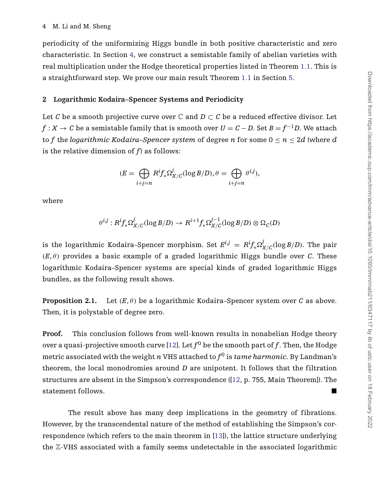periodicity of the uniformizing Higgs bundle in both positive characteristic and zero characteristic. In Section [4,](#page-17-0) we construct a semistable family of abelian varieties with real multiplication under the Hodge theoretical properties listed in Theorem [1.1.](#page-1-0) This is a straightforward step. We prove our main result Theorem [1.1](#page-1-0) in Section [5.](#page-18-0)

#### <span id="page-3-0"></span>**2 Logarithmic Kodaira–Spencer Systems and Periodicity**

Let *C* be a smooth projective curve over  $\mathbb C$  and  $D \subset C$  be a reduced effective divisor. Let *f* : *X* → *C* be a semistable family that is smooth over  $U = C - D$ . Set  $B = f^{-1}D$ . We attach to f the *logarithmic Kodaira–Spencer system* of degree *n* for some  $0 \le n \le 2d$  (where *d* is the relative dimension of *f*) as follows:

$$
(E = \bigoplus_{i+j=n} R^i f_* \Omega^j_{X/C}(\log B/D), \theta = \bigoplus_{i+j=n} \theta^{i,j}),
$$

where

$$
\theta^{i,j}:R^if_*\Omega^j_{X/C}(\log B/D)\to R^{i+1}f_*\Omega^{j-1}_{X/C}(\log B/D)\otimes\Omega_C(D)
$$

is the logarithmic Kodaira–Spencer morphism. Set  $E^{i,j} = R^i f_* \Omega^j_{X/C} (\log B/D)$ . The pair  $(E, \theta)$  provides a basic example of a graded logarithmic Higgs bundle over *C*. These logarithmic Kodaira–Spencer systems are special kinds of graded logarithmic Higgs bundles, as the following result shows.

<span id="page-3-1"></span>**Proposition 2.1.** Let  $(E, \theta)$  be a logarithmic Kodaira–Spencer system over *C* as above. Then, it is polystable of degree zero.

**Proof.** This conclusion follows from well-known results in nonabelian Hodge theory over a quasi-projective smooth curve [\[12\]](#page-21-1). Let  $f^0$  be the smooth part of f. Then, the Hodge metric associated with the weight *n* VHS attached to  $f^0$  is *tame harmonic*. By Landman's theorem, the local monodromies around *D* are unipotent. It follows that the filtration structures are absent in the Simpson's correspondence ([\[12,](#page-21-1) p. 755, Main Theorem]). The statement follows.

The result above has many deep implications in the geometry of fibrations. However, by the transcendental nature of the method of establishing the Simpson's correspondence (which refers to the main theorem in [\[13\]](#page-21-3)), the lattice structure underlying the Z-VHS associated with a family seems undetectable in the associated logarithmic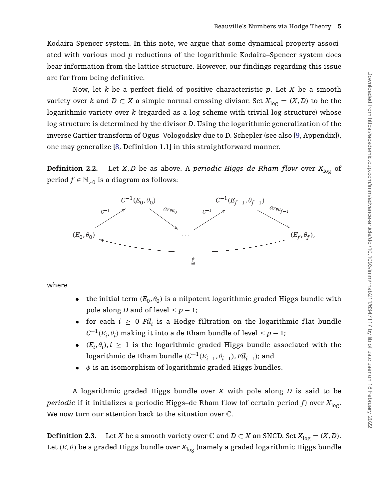Kodaira-Spencer system. In this note, we argue that some dynamical property associated with various mod *p* reductions of the logarithmic Kodaira–Spencer system does bear information from the lattice structure. However, our findings regarding this issue are far from being definitive.

Now, let *k* be a perfect field of positive characteristic *p*. Let *X* be a smooth variety over *k* and  $D \subset X$  a simple normal crossing divisor. Set  $X_{log} = (X, D)$  to be the logarithmic variety over *k* (regarded as a log scheme with trivial log structure) whose log structure is determined by the divisor *D*. Using the logarithmic generalization of the inverse Cartier transform of Ogus–Vologodsky due to D. Schepler (see also [\[9,](#page-21-4) Appendix]), one may generalize [\[8,](#page-21-2) Definition 1.1] in this straightforward manner.

**Definition 2.2.** Let *X*, *D* be as above. A *periodic Higgs–de Rham flow* over  $X_{\text{log}}$  of period  $f \in \mathbb{N}_{>0}$  is a diagram as follows:



where

- the initial term  $(E_0, \theta_0)$  is a nilpotent logarithmic graded Higgs bundle with pole along *D* and of level  $\leq p-1$ ;
- for each  $i \geq 0$  Fil<sub>i</sub> is a Hodge filtration on the logarithmic flat bundle  $C^{-1}(E_i, \theta_i)$  making it into a de Rham bundle of level  $\leq p-1$ ;
- $(E_i, \theta_i)$ ,  $i \geq 1$  is the logarithmic graded Higgs bundle associated with the logarithmic de Rham bundle  $(C^{-1}(E_{i-1}, \theta_{i-1}), Fil_{i-1})$ ; and
- *φ* is an isomorphism of logarithmic graded Higgs bundles.

A logarithmic graded Higgs bundle over *X* with pole along *D* is said to be *periodic* if it initializes a periodic Higgs-de Rham flow (of certain period f) over  $X_{\text{log}}$ . We now turn our attention back to the situation over C.

**Definition 2.3.** Let *X* be a smooth variety over  $\mathbb C$  and  $D \subset X$  an SNCD. Set  $X_{\log} = (X, D)$ . Let  $(E, \theta)$  be a graded Higgs bundle over  $X_{\text{log}}$  (namely a graded logarithmic Higgs bundle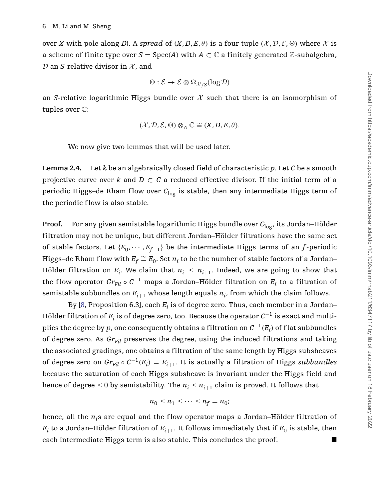over *X* with pole along *D*). A *spread* of  $(X, D, E, \theta)$  is a four-tuple  $(X, D, \mathcal{E}, \Theta)$  where X is a scheme of finite type over  $S = Spec(A)$  with  $A \subset \mathbb{C}$  a finitely generated  $\mathbb{Z}$ -subalgebra,  $D$  an *S*-relative divisor in  $X$ , and

$$
\Theta: \mathcal{E} \to \mathcal{E} \otimes \Omega_{\mathcal{X}/S}(\log \mathcal{D})
$$

an *S*-relative logarithmic Higgs bundle over  $\mathcal X$  such that there is an isomorphism of tuples over C:

$$
(\mathcal{X}, \mathcal{D}, \mathcal{E}, \Theta) \otimes_A \mathbb{C} \cong (X, D, E, \theta).
$$

We now give two lemmas that will be used later.

<span id="page-5-0"></span>**Lemma 2.4.** Let *k* be an algebraically closed field of characteristic *p*. Let *C* be a smooth projective curve over *k* and  $D \subset C$  a reduced effective divisor. If the initial term of a periodic Higgs-de Rham flow over C<sub>log</sub> is stable, then any intermediate Higgs term of the periodic flow is also stable.

**Proof.** For any given semistable logarithmic Higgs bundle over  $C_{\text{log}}$ , its Jordan–Hölder filtration may not be unique, but different Jordan–Hölder filtrations have the same set of stable factors. Let  ${E_0, \cdots, E_{f-1}}$  be the intermediate Higgs terms of an *f*-periodic Higgs–de Rham flow with  $E_f \cong E_0$ . Set  $n_i$  to be the number of stable factors of a Jordan– Hölder filtration on  $E_i$ . We claim that  $n_i \leq n_{i+1}$ . Indeed, we are going to show that the flow operator  $Gr_{Fil} \circ C^{-1}$  maps a Jordan–Hölder filtration on  $E_i$  to a filtration of semistable subbundles on  $E_{i+1}$  whose length equals  $n_i$ , from which the claim follows.

By [\[8,](#page-21-2) Proposition 6.3], each *Ei* is of degree zero. Thus, each member in a Jordan– Hölder filtration of *Ei* is of degree zero, too. Because the operator *<sup>C</sup>*−<sup>1</sup> is exact and multiplies the degree by *p*, one consequently obtains a filtration on  $C^{-1}(E_i)$  of flat subbundles of degree zero. As  $Gr_{Fil}$  preserves the degree, using the induced filtrations and taking the associated gradings, one obtains a filtration of the same length by Higgs subsheaves of degree zero on  $Gr_{Fil} \circ C^{-1}(E_i) = E_{i+1}$ . It is actually a filtration of Higgs *subbundles* because the saturation of each Higgs subsheave is invariant under the Higgs field and hence of degree  $\leq 0$  by semistability. The  $n_i \leq n_{i+1}$  claim is proved. It follows that

$$
n_0 \leq n_1 \leq \cdots \leq n_f = n_0;
$$

hence, all the  $n_i$ s are equal and the flow operator maps a Jordan–Hölder filtration of  $E_i$  to a Jordan–Hölder filtration of  $E_{i+1}$ . It follows immediately that if  $E_0$  is stable, then each intermediate Higgs term is also stable. This concludes the proof.  $\blacksquare$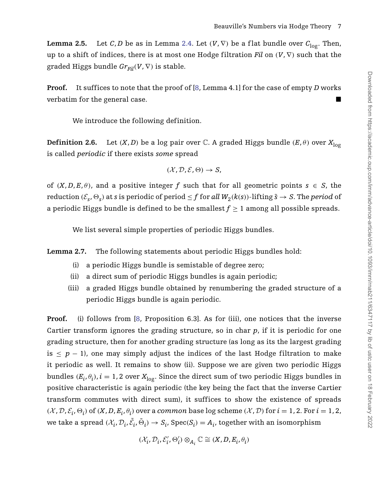<span id="page-6-2"></span>**Lemma 2.5.** Let *C*, *D* be as in Lemma [2.4.](#page-5-0) Let  $(V, \nabla)$  be a flat bundle over  $C_{\text{loc}}$ . Then, up to a shift of indices, there is at most one Hodge filtration *Fil* on  $(V, \nabla)$  such that the graded Higgs bundle  $Gr_{Fil}(V, \nabla)$  is stable.

**Proof.** It suffices to note that the proof of [\[8,](#page-21-2) Lemma 4.1] for the case of empty *D* works verbatim for the general case.

We introduce the following definition.

<span id="page-6-0"></span>**Definition 2.6.** Let  $(X, D)$  be a log pair over C. A graded Higgs bundle  $(E, \theta)$  over  $X_{\text{log}}$ is called *periodic* if there exists *some* spread

$$
(\mathcal{X},\mathcal{D},\mathcal{E},\Theta)\rightarrow S,
$$

of  $(X, D, E, \theta)$ , and a positive integer f such that for all geometric points  $s \in S$ , the reduction  $(\mathcal{E}_{s}, \Theta_{s})$  at *s* is periodic of period  $\leq f$  for *all*  $W_{2}(k(s))$ -lifting  $\tilde{s} \to S$ . The *period* of a periodic Higgs bundle is defined to be the smallest  $f \geq 1$  among all possible spreads.

We list several simple properties of periodic Higgs bundles.

<span id="page-6-1"></span>**Lemma 2.7.** The following statements about periodic Higgs bundles hold:

- (i) a periodic Higgs bundle is semistable of degree zero;
- (ii) a direct sum of periodic Higgs bundles is again periodic;
- (iii) a graded Higgs bundle obtained by renumbering the graded structure of a periodic Higgs bundle is again periodic.

**Proof.** (i) follows from [\[8,](#page-21-2) Proposition 6.3]. As for (iii), one notices that the inverse Cartier transform ignores the grading structure, so in char *p*, if it is periodic for one grading structure, then for another grading structure (as long as its the largest grading is  $\leq p - 1$ ), one may simply adjust the indices of the last Hodge filtration to make it periodic as well. It remains to show (ii). Suppose we are given two periodic Higgs bundles  $(E_i, \theta_i)$ ,  $i = 1, 2$  over  $X_{\text{log}}$ . Since the direct sum of two periodic Higgs bundles in positive characteristic is again periodic (the key being the fact that the inverse Cartier transform commutes with direct sum), it suffices to show the existence of spreads  $(\mathcal{X}, \mathcal{D}, \mathcal{E}_i, \Theta_i)$  of  $(X, D, E_i, \theta_i)$  over a *common* base log scheme  $(\mathcal{X}, \mathcal{D})$  for  $i = 1, 2$ . For  $i = 1, 2$ , we take a spread  $(\mathcal{X}_i, \mathcal{D}_i, \tilde{\mathcal{E}}_i, \tilde{\Theta}_i) \to S_i$ , Spec $(S_i) = A_i$ , together with an isomorphism

$$
(\mathcal{X}_i,\mathcal{D}_i,\mathcal{E}'_i,\Theta'_i)\otimes_{A_i}\mathbb{C}\cong (X,D,E_i,\theta_i)
$$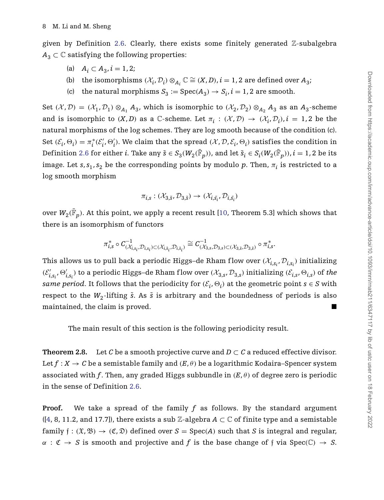given by Definition [2.6.](#page-6-0) Clearly, there exists some finitely generated Z-subalgebra  $A_3 \subset \mathbb{C}$  satisfying the following properties:

- (a) *A<sub>i</sub>* ⊂ *A*<sub>3</sub>*, i* = 1*,* 2;
- (b) the isomorphisms  $(\mathcal{X}_i, \mathcal{D}_i) \otimes_{A_i} \mathbb{C} \cong (X, D), i = 1, 2$  are defined over  $A_3$ ;
- (c) the natural morphisms  $S_3 := \text{Spec}(A_3) \rightarrow S_i$ ,  $i = 1, 2$  are smooth.

Set  $(X, \mathcal{D}) = (X_1, \mathcal{D}_1) \otimes_{A_1} A_3$ , which is isomorphic to  $(X_2, \mathcal{D}_2) \otimes_{A_2} A_3$  as an  $A_3$ -scheme and is isomorphic to  $(X, D)$  as a C-scheme. Let  $\pi_i : (\mathcal{X}, \mathcal{D}) \to (\mathcal{X}_i, \mathcal{D}_i), i = 1, 2$  be the natural morphisms of the log schemes. They are log smooth because of the condition (c). Set  $(\mathcal{E}_i, \Theta_i) = \pi_i^*(\mathcal{E}'_i, \Theta'_i)$ . We claim that the spread  $(\mathcal{X}, \mathcal{D}, \mathcal{E}_i, \Theta_i)$  satisfies the condition in Definition [2.6](#page-6-0) for either *i*. Take any  $\tilde{s} \in S_3(W_2(\bar{\mathbb{F}}_p))$ , and let  $\tilde{s}_i \in S_i(W_2(\bar{\mathbb{F}}_p))$ ,  $i = 1, 2$  be its image. Let  $s, s_1, s_2$  be the corresponding points by modulo *p*. Then,  $\pi_i$  is restricted to a log smooth morphism

$$
\pi_{i,s}:(\mathcal{X}_{3,\tilde{s}},\mathcal{D}_{3,\tilde{s}})\rightarrow(\mathcal{X}_{i,\tilde{s_i}},\mathcal{D}_{i,\tilde{s_i}})
$$

over  $W_2(\bar{\mathbb{F}}_p)$ . At this point, we apply a recent result [\[10,](#page-21-5) Theorem 5.3] which shows that there is an isomorphism of functors

$$
\pi_{i,s}^* \circ C_{(\mathcal{X}_{i,\tilde{s}_i},\mathcal{D}_{i,\tilde{s}_i})\subset (\mathcal{X}_{i,\tilde{s}_i},\mathcal{D}_{i,\tilde{s}_i})}^{-1} \cong C_{(\mathcal{X}_{3,s},\mathcal{D}_{3,s})\subset (\mathcal{X}_{3,\tilde{s}},\mathcal{D}_{3,\tilde{s}})}^{-1} \circ \pi_{i,s}^*.
$$

This allows us to pull back a periodic Higgs–de Rham flow over  $(\mathcal{X}_{i,s_i},\mathcal{D}_{i,s_i})$  initializing  $(\mathcal{E}'_{i,s_i}, \Theta'_{i,s_i})$  to a periodic Higgs–de Rham flow over  $(\mathcal{X}_{3,s}, \mathcal{D}_{3,s})$  initializing  $(\mathcal{E}_{i,s}, \Theta_{i,s})$  of *the same period.* It follows that the periodicity for  $(\mathcal{E}_i, \Theta_i)$  at the geometric point  $s \in S$  with respect to the  $W_2$ -lifting  $\tilde{s}$ . As  $\tilde{s}$  is arbitrary and the boundedness of periods is also  $m$  maintained, the claim is proved.

The main result of this section is the following periodicity result.

<span id="page-7-0"></span>**Theorem 2.8.** Let *C* be a smooth projective curve and  $D \subset C$  a reduced effective divisor. Let  $f: X \to C$  be a semistable family and  $(E, \theta)$  be a logarithmic Kodaira–Spencer system associated with *f*. Then, any graded Higgs subbundle in  $(E, \theta)$  of degree zero is periodic in the sense of Definition [2.6.](#page-6-0)

**Proof.** We take a spread of the family *f* as follows. By the standard argument  $([4, 8, 11.2, and 17.7])$  $([4, 8, 11.2, and 17.7])$  $([4, 8, 11.2, and 17.7])$ , there exists a sub Z-algebra  $A \subset \mathbb{C}$  of finite type and a semistable family  $f : (\mathfrak{X}, \mathfrak{B}) \to (\mathfrak{C}, \mathfrak{D})$  defined over  $S = \text{Spec}(A)$  such that *S* is integral and regular,  $\alpha$  :  $\mathfrak{C} \rightarrow S$  is smooth and projective and *f* is the base change of *f* via Spec $(\mathbb{C}) \rightarrow S$ .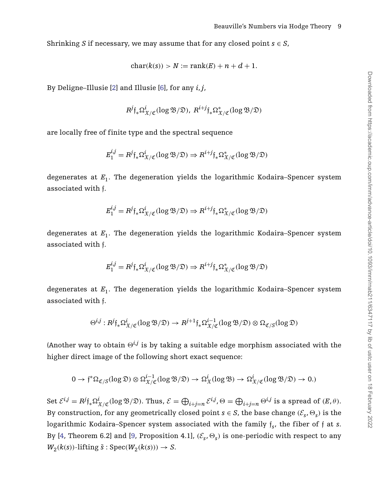Shrinking *S* if necessary, we may assume that for any closed point  $s \in S$ ,

$$
char(k(s)) > N := rank(E) + n + d + 1.
$$

By Deligne–Illusie [\[2\]](#page-20-1) and Illusie [\[6\]](#page-21-7), for any *i*,*j*,

$$
R^{j} \mathfrak{f}_{*} \Omega^{i}_{\mathfrak{X}/\mathfrak{C}}(\log \mathfrak{B}/\mathfrak{D}), R^{i+j} \mathfrak{f}_{*} \Omega^{*}_{\mathfrak{X}/\mathfrak{C}}(\log \mathfrak{B}/\mathfrak{D})
$$

are locally free of finite type and the spectral sequence

$$
E_1^{i,j} = R^j \mathfrak{f}_* \Omega^i_{\mathfrak{X}/\mathfrak{C}}(\log \mathfrak{B}/\mathfrak{D}) \Rightarrow R^{i+j} \mathfrak{f}_* \Omega^*_{\mathfrak{X}/\mathfrak{C}}(\log \mathfrak{B}/\mathfrak{D})
$$

degenerates at *E*1. The degeneration yields the logarithmic Kodaira–Spencer system associated with f.

$$
E_1^{i,j} = R^j \mathfrak{f}_* \Omega^i_{\mathfrak{X}/\mathfrak{C}}(\log \mathfrak{B}/\mathfrak{D}) \Rightarrow R^{i+j} \mathfrak{f}_* \Omega^*_{\mathfrak{X}/\mathfrak{C}}(\log \mathfrak{B}/\mathfrak{D})
$$

degenerates at *E*1. The degeneration yields the logarithmic Kodaira–Spencer system associated with f.

$$
E_1^{i,j} = R^j \mathfrak{f}_* \Omega^i_{\mathfrak{X}/\mathfrak{C}}(\log \mathfrak{B}/\mathfrak{D}) \Rightarrow R^{i+j} \mathfrak{f}_* \Omega^*_{\mathfrak{X}/\mathfrak{C}}(\log \mathfrak{B}/\mathfrak{D})
$$

degenerates at *E*1. The degeneration yields the logarithmic Kodaira–Spencer system associated with f.

$$
\Theta^{i,j}: R^j \mathfrak{f}_* \Omega^i_{\mathfrak{X} / \mathfrak{C}}(\log \mathfrak{B}/ \mathfrak{D}) \to R^{j+1} \mathfrak{f}_* \Omega^{i-1}_{\mathfrak{X}/\mathfrak{C}}(\log \mathfrak{B}/ \mathfrak{D}) \otimes \Omega_{\mathfrak{C}/S}(\log \mathfrak{D})
$$

(Another way to obtain  $\Theta^{i,j}$  is by taking a suitable edge morphism associated with the higher direct image of the following short exact sequence:

$$
0\rightarrow \mathfrak{f}^*\Omega_{\mathfrak{C}/S}(\log \mathfrak{D})\otimes \Omega^{i-1}_{\mathfrak{X}/\mathfrak{C}}(\log \mathfrak{B}/\mathfrak{D})\rightarrow \Omega^i_{\mathfrak{X}}(\log \mathfrak{B})\rightarrow \Omega^i_{\mathfrak{X}/\mathfrak{C}}(\log \mathfrak{B}/\mathfrak{D})\rightarrow 0.)
$$

Set  $\mathcal{E}^{i,j}=R^j\mathfrak{f}_*\Omega^i_{\mathfrak{X}/\mathfrak{C}}(\log \mathfrak{B}/\mathfrak{D}).$  Thus,  $\mathcal{E}=\bigoplus_{i+j=n}\mathcal{E}^{i,j},$   $\Theta=\bigoplus_{i+j=n}\Theta^{i,j}$  is a spread of  $(E,\theta).$ By construction, for any geometrically closed point  $s \in S$ , the base change  $(\mathcal{E}_s, \Theta_s)$  is the logarithmic Kodaira–Spencer system associated with the family f*s*, the fiber of f at *s*. By [\[4,](#page-21-6) Theorem 6.2] and [\[9,](#page-21-4) Proposition 4.1],  $(\mathcal{E}_s, \Theta_s)$  is one-periodic with respect to any  $W_2(k(s))$ -lifting  $\tilde{s}$  : Spec $(W_2(k(s))) \rightarrow S$ .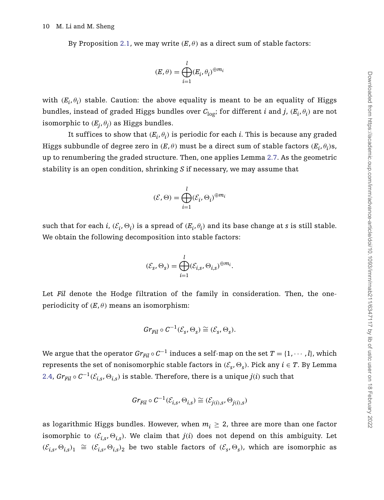By Proposition [2.1,](#page-3-1) we may write  $(E, \theta)$  as a direct sum of stable factors:

$$
(E,\theta)=\bigoplus_{i=1}^l(E_i,\theta_i)^{\oplus m_i}
$$

with  $(E_i, \theta_i)$  stable. Caution: the above equality is meant to be an equality of Higgs bundles, instead of graded Higgs bundles over  $C_{\text{log}}$ ; for different *i* and *j*,  $(E_i, \theta_i)$  are not isomorphic to  $(E_i, \theta_i)$  as Higgs bundles.

It suffices to show that  $(E_i, \theta_i)$  is periodic for each *i*. This is because any graded Higgs subbundle of degree zero in  $(E, \theta)$  must be a direct sum of stable factors  $(E_i, \theta_i)$ s, up to renumbering the graded structure. Then, one applies Lemma [2.7.](#page-6-1) As the geometric stability is an open condition, shrinking *S* if necessary, we may assume that

$$
(\mathcal{E}, \Theta) = \bigoplus_{i=1}^{l} (\mathcal{E}_i, \Theta_i)^{\oplus m_i}
$$

such that for each *i*,  $(\mathcal{E}_i, \Theta_i)$  is a spread of  $(E_i, \theta_i)$  and its base change at *s* is still stable. We obtain the following decomposition into stable factors:

$$
(\mathcal{E}_s, \Theta_s) = \bigoplus_{i=1}^l (\mathcal{E}_{i,s}, \Theta_{i,s})^{\oplus m_i}.
$$

Let *Fil* denote the Hodge filtration of the family in consideration. Then, the oneperiodicity of  $(E, \theta)$  means an isomorphism:

$$
Gr_{Fil} \circ C^{-1}(\mathcal{E}_s, \Theta_s) \cong (\mathcal{E}_s, \Theta_s).
$$

We argue that the operator  $Gr_{Fil} \circ C^{-1}$  induces a self-map on the set  $T = \{1, \dots, l\}$ , which represents the set of nonisomorphic stable factors in  $(\mathcal{E}_s, \Theta_s)$ . Pick any  $i \in T$ . By Lemma [2.4,](#page-5-0)  $Gr_{Fil} \circ C^{-1}(\mathcal{E}_{i,s}, \Theta_{i,s})$  is stable. Therefore, there is a unique  $j(i)$  such that

$$
Gr_{Fil} \circ C^{-1}(\mathcal{E}_{i,s}, \Theta_{i,s}) \cong (\mathcal{E}_{j(i),s}, \Theta_{j(i),s})
$$

as logarithmic Higgs bundles. However, when  $m_i \geq 2$ , three are more than one factor isomorphic to  $(\mathcal{E}_{i,s}, \Theta_{i,s})$ . We claim that  $j(i)$  does not depend on this ambiguity. Let  $(E_{i,s}, \Theta_{i,s})$ <sub>1</sub> ≃  $(E_{i,s}, \Theta_{i,s})$ <sub>2</sub> be two stable factors of  $(E_s, \Theta_s)$ , which are isomorphic as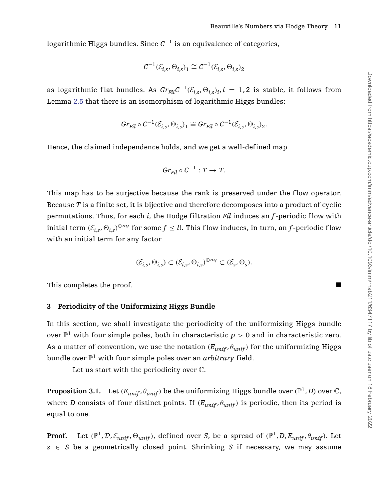logarithmic Higgs bundles. Since *C*−<sup>1</sup> is an equivalence of categories,

$$
\mathcal{C}^{-1}(\mathcal{E}_{i,s}, \Theta_{i,s})_1 \cong \mathcal{C}^{-1}(\mathcal{E}_{i,s}, \Theta_{i,s})_2
$$

as logarithmic flat bundles. As  $Gr_{Fil}C^{-1}(\mathcal{E}_{i,s}, \Theta_{i,s})$ ,  $i = 1, 2$  is stable, it follows from Lemma [2.5](#page-6-2) that there is an isomorphism of logarithmic Higgs bundles:

$$
Gr_{Fil} \circ \mathcal{C}^{-1}(\mathcal{E}_{i,s}, \Theta_{i,s})_1 \cong Gr_{Fil} \circ \mathcal{C}^{-1}(\mathcal{E}_{i,s}, \Theta_{i,s})_2.
$$

Hence, the claimed independence holds, and we get a well-defined map

$$
Gr_{Fil} \circ C^{-1}: T \to T.
$$

This map has to be surjective because the rank is preserved under the flow operator. Because *T* is a finite set, it is bijective and therefore decomposes into a product of cyclic permutations. Thus, for each *i*, the Hodge filtration *Fil* induces an *f*-periodic f low with initial term  $(\mathcal{E}_{i,s}, \Theta_{i,s})^{\oplus m_i}$  for some  $f \leq l$ . This flow induces, in turn, an *f*-periodic flow with an initial term for any factor

$$
(\mathcal{E}_{i,s},\Theta_{i,s})\subset (\mathcal{E}_{i,s},\Theta_{i,s})^{\oplus m_i}\subset (\mathcal{E}_s,\Theta_s).
$$

This completes the proof.

#### <span id="page-10-1"></span>**3 Periodicity of the Uniformizing Higgs Bundle**

In this section, we shall investigate the periodicity of the uniformizing Higgs bundle over  $\mathbb{P}^1$  with four simple poles, both in characteristic *p* > 0 and in characteristic zero. As a matter of convention, we use the notation  $(E_{unif}, \theta_{unif})$  for the uniformizing Higgs bundle over  $\mathbb{P}^1$  with four simple poles over an *arbitrary* field.

Let us start with the periodicity over C.

<span id="page-10-0"></span>**Proposition 3.1.** Let  $(E_{unif}, \theta_{unif})$  be the uniformizing Higgs bundle over  $(\mathbb{P}^1, D)$  over  $\mathbb{C}$ , where *D* consists of four distinct points. If  $(E_{unif}, \theta_{unif})$  is periodic, then its period is equal to one.

**Proof.** Let  $(\mathbb{P}^1, \mathcal{D}, \mathcal{E}_{unif}, \Theta_{unif})$ , defined over *S*, be a spread of  $(\mathbb{P}^1, \mathcal{D}, E_{unif}, \theta_{unif})$ . Let  $s \in S$  be a geometrically closed point. Shrinking *S* if necessary, we may assume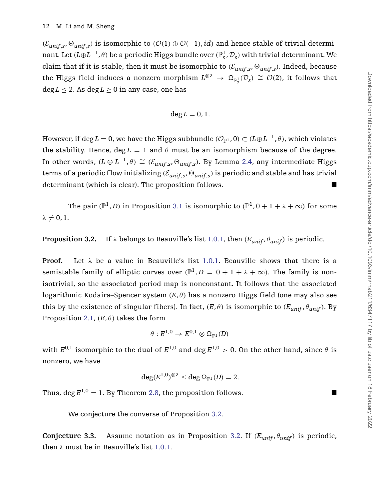$(\mathcal{E}_{unif,s}, \Theta_{unif,s})$  is isomorphic to  $(\mathcal{O}(1) \oplus \mathcal{O}(-1), id)$  and hence stable of trivial determinant. Let  $(L \oplus L^{-1}, \theta)$  be a periodic Higgs bundle over  $(\mathbb{P}^1_s, \mathcal{D}_s)$  with trivial determinant. We claim that if it is stable, then it must be isomorphic to  $(\mathcal{E}_{unif,s}, \Theta_{unif,s})$ . Indeed, because the Higgs field induces a nonzero morphism  $L^{\otimes 2} \to \Omega_{\mathbb{P}^1_s}(\mathcal{D}_s) \cong \mathcal{O}(2)$ , it follows that  $\deg L \leq 2$ . As  $\deg L \geq 0$  in any case, one has

$$
\deg L=0,1.
$$

However, if deg *L* = 0, we have the Higgs subbundle  $(\mathcal{O}_{\mathbb{P}^1}, 0) \subset (L \oplus L^{-1}, \theta)$ , which violates the stability. Hence,  $\text{deg } L = 1$  and  $\theta$  must be an isomorphism because of the degree. In other words,  $(L ⊕ L<sup>-1</sup>, θ) ≅ (E<sub>unif,s</sub>, ∅<sub>unif,s</sub>)$ . By Lemma [2.4,](#page-5-0) any intermediate Higgs terms of a periodic flow initializing  $(\mathcal{E}_{unif,s}, \Theta_{unif,s})$  is periodic and stable and has trivial determinant (which is clear). The proposition follows.

The pair  $(\mathbb{P}^1, D)$  in Proposition [3.1](#page-10-0) is isomorphic to  $(\mathbb{P}^1, 0 + 1 + \lambda + \infty)$  for some  $\lambda \neq 0, 1.$ 

<span id="page-11-0"></span>**Proposition 3.2.** If  $\lambda$  belongs to Beauville's list [1.0.1,](#page-0-0) then  $(E_{unif}, \theta_{unif})$  is periodic.

**Proof.** Let  $\lambda$  be a value in Beauville's list [1.0.1.](#page-0-0) Beauville shows that there is a semistable family of elliptic curves over  $(\mathbb{P}^1, D = 0 + 1 + \lambda + \infty)$ . The family is nonisotrivial, so the associated period map is nonconstant. It follows that the associated logarithmic Kodaira–Spencer system *(E*, *θ )* has a nonzero Higgs field (one may also see this by the existence of singular fibers). In fact,  $(E, \theta)$  is isomorphic to  $(E_{unif}, \theta_{unif})$ . By Proposition [2.1,](#page-3-1)  $(E, \theta)$  takes the form

$$
\theta: E^{1,0} \to E^{0,1} \otimes \Omega_{\mathbb{P}^1}(D)
$$

with  $E^{0,1}$  isomorphic to the dual of  $E^{1,0}$  and deg  $E^{1,0} > 0$ . On the other hand, since  $\theta$  is nonzero, we have

$$
\deg(E^{1,0})^{\otimes 2} \leq \deg \Omega_{\mathbb{P}^1}(D) = 2.
$$

Thus,  $\deg E^{1,0} = 1$ . By Theorem [2.8,](#page-7-0) the proposition follows.

We conjecture the converse of Proposition [3.2.](#page-11-0)

<span id="page-11-1"></span>**Conjecture 3.3.** Assume notation as in Proposition [3.2.](#page-11-0) If  $(E_{unif}, \theta_{unif})$  is periodic, then *λ* must be in Beauville's list [1.0.1.](#page-0-0)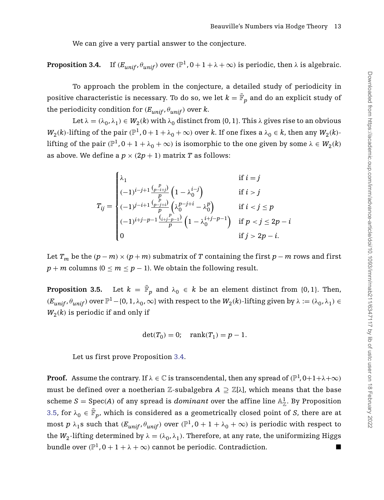We can give a very partial answer to the conjecture.

<span id="page-12-0"></span>**Proposition 3.4.** If  $(E_{unif}, \theta_{unif})$  over  $(\mathbb{P}^1, 0 + 1 + \lambda + \infty)$  is periodic, then  $\lambda$  is algebraic.

To approach the problem in the conjecture, a detailed study of periodicity in positive characteristic is necessary. To do so, we let  $k = \mathbb{\bar{F}}_p$  and do an explicit study of the periodicity condition for  $(E_{unif}, \theta_{unif})$  over  $k$ .

Let  $\lambda = (\lambda_0, \lambda_1) \in W_2(k)$  with  $\lambda_0$  distinct from {0, 1}. This  $\lambda$  gives rise to an obvious *W*<sub>2</sub>(*k*)-lifting of the pair  $(\mathbb{P}^1, 0 + 1 + \lambda_0 + \infty)$  over *k*. If one fixes a  $\lambda_0 \in k$ , then any  $W_2(k)$ lifting of the pair  $(\mathbb{P}^1, 0 + 1 + \lambda_0 + \infty)$  is isomorphic to the one given by some  $\lambda \in W_2(k)$ as above. We define a  $p \times (2p + 1)$  matrix *T* as follows:

$$
T_{ij} = \begin{cases} \lambda_1 & \text{if } i = j \\ (-1)^{i-j+1} \frac{{p \choose p-i+j}}{p} \left(1 - \lambda_0^{i-j}\right) & \text{if } i > j \\ (-1)^{j-i+1} \frac{{p \choose p-j+i}}{p} \left(\lambda_0^{p-j+i} - \lambda_0^p\right) & \text{if } i < j \le p \\ (-1)^{i+j-p-1} \frac{{i+j-p-1 \choose i+j-p-1}}{p} \left(1 - \lambda_0^{i+j-p-1}\right) & \text{if } p < j \le 2p-i \\ 0 & \text{if } j > 2p-i. \end{cases}
$$

Let  $T_m$  be the  $(p - m) \times (p + m)$  submatrix of *T* containing the first  $p - m$  rows and first  $p + m$  columns ( $0 \le m \le p - 1$ ). We obtain the following result.

<span id="page-12-1"></span>**Proposition 3.5.** Let  $k = \bar{\mathbb{F}}_p$  and  $\lambda_0 \in k$  be an element distinct from {0, 1}. Then,  $(E_{unif}, \theta_{unif})$  over  $\mathbb{P}^1 - \{0, 1, \lambda_0, \infty\}$  with respect to the  $W_2(k)$ -lifting given by  $\lambda := (\lambda_0, \lambda_1) \in$  $W_2(k)$  is periodic if and only if

$$
\det(T_0)=0;\quad \mathrm{rank}(T_1)=p-1.
$$

Let us first prove Proposition [3.4.](#page-12-0)

**Proof.** Assume the contrary. If  $\lambda \in \mathbb{C}$  is transcendental, then any spread of  $(\mathbb{P}^1, 0+1+\lambda+\infty)$ must be defined over a noetherian Z-subalgebra  $A \supseteq \mathbb{Z}[\lambda]$ , which means that the base scheme  $S = \text{Spec}(A)$  of any spread is *dominant* over the affine line  $\mathbb{A}^1_{\mathbb{Z}}$ . By Proposition [3.5,](#page-12-1) for  $\lambda_0 \in \bar{\mathbb{F}}_p$ , which is considered as a geometrically closed point of *S*, there are at most *p*  $\lambda_1$ s such that  $(E_{unif}, \theta_{unif})$  over  $(\mathbb{P}^1, 0 + 1 + \lambda_0 + \infty)$  is periodic with respect to the  $W_2$ -lifting determined by  $\lambda = (\lambda_0, \lambda_1)$ . Therefore, at any rate, the uniformizing Higgs bundle over  $(\mathbb{P}^1, 0 + 1 + \lambda + \infty)$  cannot be periodic. Contradiction.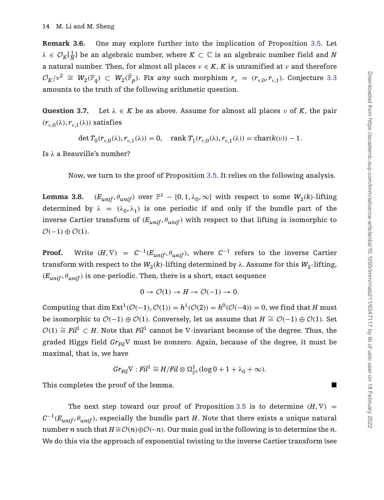**Remark 3.6.** One may explore further into the implication of Proposition [3.5.](#page-12-1) Let  $\lambda \in \mathcal{O}_K[\frac{1}{N}]$  be an algebraic number, where  $K \subset \mathbb{C}$  is an algebraic number field and *N* a natural number. Then, for almost all places  $v \in K$ , *K* is unramified at *v* and therefore  $\mathcal{O}_K/\nu^2 \cong W_2(\mathbb{F}_q) \subset W_2(\bar{\mathbb{F}}_p)$ . Fix *any* such morphism  $r_v = (r_{v,0}, r_{v,1})$ . Conjecture [3.3](#page-11-1) amounts to the truth of the following arithmetic question.

<span id="page-13-0"></span>**Question 3.7.** Let  $\lambda \in K$  be as above. Assume for almost all places *ν* of *K*, the pair  $(r_{\nu,0}(\lambda), r_{\nu,1}(\lambda))$  satisfies

 $\det T_0(r_{v,0}(\lambda), r_{v,1}(\lambda)) = 0$ , rank  $T_1(r_{v,0}(\lambda), r_{v,1}(\lambda)) = \text{char}(k(v)) - 1$ .

Is *λ* a Beauville's number?

Now, we turn to the proof of Proposition [3.5.](#page-12-1) It relies on the following analysis.

**Lemma 3.8.**  $(E_{unif}, \theta_{unif})$  over  $\mathbb{P}^1 - \{0, 1, \lambda_0, \infty\}$  with respect to some  $W_2(k)$ -lifting determined by  $\lambda = (\lambda_0, \lambda_1)$  is one periodic if and only if the bundle part of the inverse Cartier transform of  $(E_{unif}, \theta_{unif})$  with respect to that lifting is isomorphic to  $\mathcal{O}(-1) \oplus \mathcal{O}(1)$ .

**Proof.** Write  $(H, \nabla) = C^{-1}(E_{unif}, \theta_{unif})$ , where  $C^{-1}$  refers to the inverse Cartier transform with respect to the  $W_2(k)$ -lifting determined by  $\lambda$ . Assume for this  $W_2$ -lifting,  $(E_{unif}, \theta_{unif})$  is one-periodic. Then, there is a short, exact sequence

$$
0 \to \mathcal{O}(1) \to H \to \mathcal{O}(-1) \to 0.
$$

Computing that dim  $Ext^1(\mathcal{O}(-1), \mathcal{O}(1)) = h^1(\mathcal{O}(2)) = h^0(\mathcal{O}(-4)) = 0$ , we find that *H* must be isomorphic to  $O(-1) \oplus O(1)$ . Conversely, let us assume that  $H \cong O(-1) \oplus O(1)$ . Set  $O(1) \cong \text{Fil}^1 \subset H$ . Note that  $\text{Fil}^1$  cannot be  $\nabla$ -invariant because of the degree. Thus, the graded Higgs field  $Gr_{Fil} \nabla$  must be nonzero. Again, because of the degree, it must be maximal, that is, we have

$$
\text{Gr}_{Fil}\nabla: \text{Fil}^1 \cong H/\text{Fil} \otimes \Omega^1_{\mathbb{P}^1}(\log 0 + 1 + \lambda_0 + \infty).
$$

This completes the proof of the lemma.

The next step toward our proof of Proposition [3.5](#page-12-1) is to determine  $(H, \nabla)$  =  $C^{-1}(E_{unif}, \theta_{unif})$ , especially the bundle part *H*. Note that there exists a unique natural number *n* such that  $H \cong \mathcal{O}(n) \oplus \mathcal{O}(-n)$ . Our main goal in the following is to determine the *n*. We do this via the approach of exponential twisting to the inverse Cartier transform (see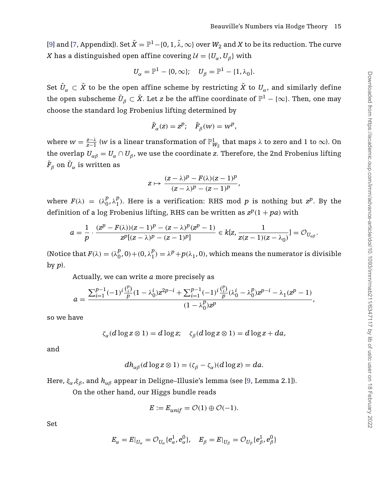[\[9\]](#page-21-4) and [\[7,](#page-21-8) Appendix]). Set  $\tilde{X} = \mathbb{P}^1 - \{0, 1, \tilde{\lambda}, \infty\}$  over  $W_2$  and *X* to be its reduction. The curve *X* has a distinguished open affine covering  $\mathcal{U} = \{U_{\alpha}, U_{\beta}\}\$  with

$$
U_\alpha=\mathbb{P}^1-\{0,\infty\};\quad U_\beta=\mathbb{P}^1-\{1,\lambda_0\}.
$$

Set  $\tilde{U}_\alpha \subset \tilde{X}$  to be the open affine scheme by restricting  $\tilde{X}$  to  $U_\alpha$ , and similarly define the open subscheme  $\tilde{U}_{\beta} \subset \tilde{X}$ . Let *z* be the affine coordinate of  $\mathbb{P}^1 - \{\infty\}$ . Then, one may choose the standard log Frobenius lifting determined by

$$
\tilde{F}_{\alpha}(z) = z^p; \quad \tilde{F}_{\beta}(w) = w^p,
$$

where  $w = \frac{z-\lambda}{z-1}$  (*w* is a linear transformation of  $\mathbb{P}^1_{W_2}$  that maps  $\lambda$  to zero and 1 to  $\infty$ ). On the overlap  $U_{\alpha\beta} = U_{\alpha} \cap U_{\beta}$ , we use the coordinate *z*. Therefore, the 2nd Frobenius lifting  $\tilde{F}_{\beta}$  on  $\tilde{U}_{\alpha}$  is written as

$$
z\mapsto \frac{(z-\lambda)^p-F(\lambda)(z-1)^p}{(z-\lambda)^p-(z-1)^p},
$$

where  $F(\lambda) = (\lambda_0^p, \lambda_1^p)$ . Here is a verification: RHS mod *p* is nothing but  $z^p$ . By the definition of a log Frobenius lifting, RHS can be written as  $z^p(1 + pa)$  with

$$
a=\frac{1}{p}\cdot\frac{(z^p-F(\lambda))(z-1)^p-(z-\lambda)^p(z^p-1)}{z^p[(z-\lambda)^p-(z-1)^p]} \in k[z,\frac{1}{z(z-1)(z-\lambda_0)}]=\mathcal{O}_{U_{\alpha\beta}}.
$$

(Notice that  $F(\lambda) = (\lambda_0^p, 0) + (0, \lambda_1^p) = \lambda^p + p(\lambda_1, 0)$ , which means the numerator is divisible by *p*).

Actually, we can write *a* more precisely as

$$
a = \frac{\sum_{i=1}^{p-1} (-1)^i \frac{\binom{p}{i}}{p} (1 - \lambda_0^i) z^{2p-i} + \sum_{i=1}^{p-1} (-1)^i \frac{\binom{p}{i}}{p} (\lambda_0^i - \lambda_0^p) z^{p-i} - \lambda_1 (z^p - 1)}{(1 - \lambda_0^p) z^p},
$$

so we have

$$
\zeta_\alpha(d\log z\otimes 1)=d\log z;\quad \zeta_\beta(d\log z\otimes 1)=d\log z+da,
$$

and

$$
dh_{\alpha\beta}(d\log z\otimes 1)=(\zeta_{\beta}-\zeta_{\alpha})(d\log z)=da.
$$

Here, *ξα*,*ξβ*, and *hαβ* appear in Deligne–Illusie's lemma (see [\[9,](#page-21-4) Lemma 2.1]).

On the other hand, our Higgs bundle reads

$$
E:=E_{unif}=\mathcal{O}(1)\oplus \mathcal{O}(-1).
$$

Set

$$
E_\alpha = E|_{U_\alpha} = \mathcal{O}_{U_\alpha} \{e^1_\alpha, e^0_\alpha\}, \quad E_\beta = E|_{U_\beta} = \mathcal{O}_{U_\beta} \{e^1_\beta, e^0_\beta\}
$$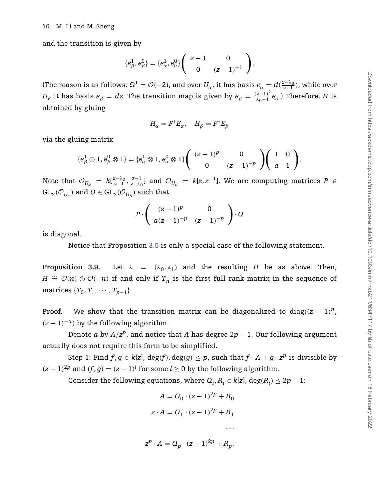and the transition is given by

$$
\{e_{\beta}^1, e_{\beta}^0\} = \{e_{\alpha}^1, e_{\alpha}^0\} \begin{pmatrix} z-1 & 0 \ 0 & (z-1)^{-1} \end{pmatrix}.
$$

(The reason is as follows:  $\Omega^1 = \mathcal{O}(-2)$ , and over  $U_\alpha$ , it has basis  $e_\alpha = d(\frac{z-\lambda_0}{z-1})$ , while over *U*<sup>β</sup> it has basis  $e^β = dz$ . The transition map is given by  $e^β = \frac{(z-1)^2}{λ_0-1}e^α$ .) Therefore, *H* is obtained by gluing

$$
H_{\alpha}=F^*E_{\alpha},\quad H_{\beta}=F^*E_{\beta}
$$

via the gluing matrix

$$
\{e_{\beta}^1 \otimes 1, e_{\beta}^0 \otimes 1\} = \{e_{\alpha}^1 \otimes 1, e_{\alpha}^0 \otimes 1\} \left( \begin{array}{cc} (z-1)^p & 0 \\ 0 & (z-1)^{-p} \end{array} \right) \left( \begin{array}{cc} 1 & 0 \\ a & 1 \end{array} \right).
$$

Note that  $\mathcal{O}_{U_\alpha} = k[\frac{z-\lambda_0}{z-1}, \frac{z-1}{z-\lambda_0}]$  and  $\mathcal{O}_{U_\beta} = k[z, z^{-1}]$ . We are computing matrices  $P \in$  $GL_2(\mathcal{O}_{U_\alpha})$  and  $\mathcal{Q} \in GL_2(\mathcal{O}_{U_\beta})$  such that

$$
P\cdot\left(\begin{array}{cc} (z-1)^p & 0\\ a(z-1)^{-p} & (z-1)^{-p} \end{array}\right)\cdot Q
$$

is diagonal.

Notice that Proposition [3.5](#page-12-1) is only a special case of the following statement.

**Proposition 3.9.** Let  $\lambda = (\lambda_0, \lambda_1)$  and the resulting *H* be as above. Then, *H*  $\cong$   $\mathcal{O}(n)$  ⊕  $\mathcal{O}(-n)$  if and only if  $T_n$  is the first full rank matrix in the sequence of matrices  ${T_0, T_1, \cdots, T_{n-1}}$ .

**Proof.** We show that the transition matrix can be diagonalized to diag $((z - 1)^n)$ ,  $(z-1)^{-n}$  by the following algorithm.

Denote *a* by  $A/z^p$ , and notice that *A* has degree  $2p - 1$ . Our following argument actually does not require this form to be simplified.

Step 1: Find  $f, g \in k[z]$ ,  $deg(f), deg(g) \leq p$ , such that  $f \cdot A + g \cdot z^p$  is divisible by  $(z-1)^{2p}$  and  $(f,g) = (z-1)^l$  for some  $l \ge 0$  by the following algorithm.

Consider the following equations, where  $Q_i, R_i \in k[\mathbf{z}]$ , deg $(R_i) \leq 2p - 1$ :

$$
A = Q_0 \cdot (z - 1)^{2p} + R_0
$$
  

$$
z \cdot A = Q_1 \cdot (z - 1)^{2p} + R_1
$$

$$
z^p \cdot A = Q_p \cdot (z-1)^{2p} + R_p,
$$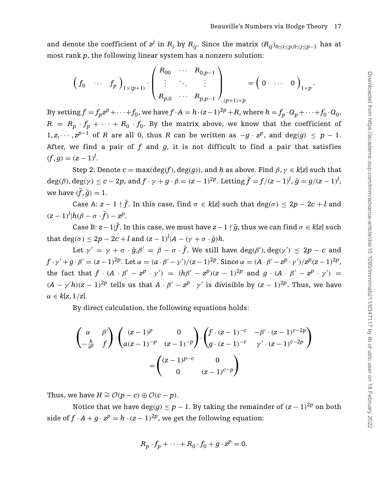and denote the coefficient of  $z^j$  in  $R_i$  by  $R_{ij}$ . Since the matrix  $(R_{ij})_{0 \le i \le p, 0 \le j \le p-1}$  has at most rank *p*, the following linear system has a nonzero solution:

$$
\left(f_0 \cdots f_p\right)_{1 \times (p+1)} \cdot \left(\begin{array}{ccc} R_{00} & \cdots & R_{0,p-1} \\ \vdots & \ddots & \vdots \\ R_{p,0} & \cdots & R_{p,p-1} \end{array}\right)_{(p+1) \times p} = \left(0 \cdots 0\right)_{1 \times p}.
$$

By setting  $f = f_n z^p + \dots + f_0$ , we have  $f \cdot A = h \cdot (z-1)^{2p} + R$ , where  $h = f_p \cdot Q_p + \dots + f_0 \cdot Q_0$ ,  $R = R_p \cdot f_p + \cdots + R_0 \cdot f_0$ . By the matrix above, we know that the coefficient of 1, *z*,  $\cdots$ ,  $z^{p-1}$  of *R* are all 0, thus *R* can be written as  $-q \cdot z^p$ , and deg(*g*) ≤ *p* − 1. After, we find a pair of *f* and *g*, it is not difficult to find a pair that satisfies  $(f, g) = (z - 1)^l$ .

Step 2: Denote  $c = \max(\deg(f), \deg(g))$ , and *h* as above. Find  $\beta, \gamma \in k[z]$  such that  $\deg(\beta)$ ,  $\deg(\gamma) \leq c - 2p$ , and  $f \cdot \gamma + g \cdot \beta = (z - 1)^{2p}$ . Letting  $\bar{f} = f/(z - 1)^l$ ,  $\bar{g} = g/(z - 1)^l$ , we have  $(\bar{f}, \bar{g}) = 1$ .

Case A:  $z - 1 \nmid \bar{f}$ . In this case, find  $\sigma \in k[z]$  such that  $\deg(\sigma) \leq 2p - 2c + l$  and  $(z-1)^l | h(\beta-\sigma \cdot \bar{f}) - z^p$ .

Case B:  $z - 1$   $\bar{f}$ . In this case, we must have  $z - 1 \nmid \bar{g}$ , thus we can find  $\sigma \in k[z]$  such that  $\deg(\sigma) \leq 2p - 2c + l$  and  $(z - 1)^l | A - (\gamma + \sigma \cdot \bar{g})h$ .

Let  $\gamma' = \gamma + \sigma \cdot \bar{g}, \beta' = \beta - \sigma \cdot \bar{f}$ . We still have  $deg(\beta'), deg(\gamma') \leq 2p - c$  and  $f\cdot \gamma'+g\cdot \beta'=(z-1)^{2p}.$  Let  $\alpha=(a\cdot \beta'-\gamma')/(z-1)^{2p}.$  Since  $\alpha=(A\cdot \beta'-z^p\cdot \gamma')/z^p(z-1)^{2p}.$ the fact that  $f \cdot (A \cdot \beta' - z^p \cdot \gamma') = (h\beta' - z^p)(z - 1)^{2p}$  and  $g \cdot (A \cdot \beta' - z^p \cdot \gamma') =$  $(A - \gamma'h)(z - 1)^{2p}$  tells us that  $A \cdot \beta' - z^p \cdot \gamma'$  is divisible by  $(z - 1)^{2p}$ . Thus, we have *α* ∈ *k*[*z*, 1*/z*].

By direct calculation, the following equations holds:

$$
\begin{pmatrix}\n\alpha & \beta' \\
-\frac{h}{z^p} & f\n\end{pmatrix}\n\cdot\n\begin{pmatrix}\n(z-1)^p & 0 \\
a(z-1)^{-p} & (z-1)^{-p}\n\end{pmatrix}\n\cdot\n\begin{pmatrix}\nf \cdot (z-1)^{-c} & -\beta' \cdot (z-1)^{c-2p} \\
g \cdot (z-1)^{-c} & \gamma' \cdot (z-1)^{c-2p}\n\end{pmatrix}
$$
\n
$$
=\n\begin{pmatrix}\n(z-1)^{p-c} & 0 \\
0 & (z-1)^{c-p}\n\end{pmatrix}
$$

Thus, we have  $H \cong \mathcal{O}(p-c) \oplus \mathcal{O}(c-p)$ .

Notice that we have  $deg(g) \leq p - 1$ . By taking the remainder of  $(z - 1)^{2p}$  on both side of  $f \cdot A + g \cdot z^p = h \cdot (z-1)^{2p}$ , we get the following equation:

$$
R_p \cdot f_p + \dots + R_0 \cdot f_0 + g \cdot z^p = 0.
$$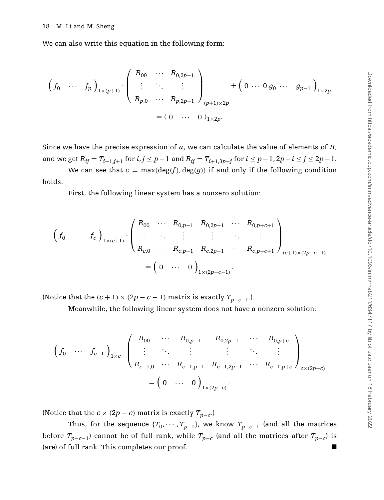We can also write this equation in the following form:

$$
\left(f_0 \cdots f_p\right)_{1 \times (p+1)} \cdot \left(\begin{array}{ccc} R_{00} & \cdots & R_{0,2p-1} \\ \vdots & \ddots & \vdots \\ R_{p,0} & \cdots & R_{p,2p-1} \end{array}\right)_{(p+1) \times 2p} + \left(0 \cdots 0 g_0 \cdots g_{p-1}\right)_{1 \times 2p}
$$
\n
$$
= (0 \cdots 0)_{1 \times 2p}.
$$

Since we have the precise expression of *a*, we can calculate the value of elements of *R*, and we get  $R_{ij} = T_{i+1,j+1}$  for  $i,j \leq p-1$  and  $R_{ij} = T_{i+1,3p-j}$  for  $i \leq p-1,2p-i \leq j \leq 2p-1$ .

We can see that  $c = \max(\deg(f), \deg(g))$  if and only if the following condition holds.

First, the following linear system has a nonzero solution:

$$
\begin{pmatrix} f_0 & \cdots & f_c \end{pmatrix}_{1 \times (c+1)} \cdot \begin{pmatrix} R_{00} & \cdots & R_{0,p-1} & R_{0,2p-1} & \cdots & R_{0,p+c+1} \\ \vdots & \ddots & \vdots & \vdots & \ddots & \vdots \\ R_{c,0} & \cdots & R_{c,p-1} & R_{c,2p-1} & \cdots & R_{c,p+c+1} \end{pmatrix}_{(c+1) \times (2p-c-1)}
$$

$$
= \begin{pmatrix} 0 & \cdots & 0 \end{pmatrix}_{1 \times (2p-c-1)}.
$$

(Notice that the  $(c + 1) \times (2p - c - 1)$  matrix is exactly  $T_{p-c-1}$ .)

Meanwhile, the following linear system does not have a nonzero solution:

$$
\begin{pmatrix}\nf_0 & \cdots & f_{c-1}\n\end{pmatrix}_{1 \times c} \cdot\n\begin{pmatrix}\nR_{00} & \cdots & R_{0,p-1} & R_{0,2p-1} & \cdots & R_{0,p+c} \\
\vdots & \ddots & \vdots & \vdots & \ddots & \vdots \\
R_{c-1,0} & \cdots & R_{c-1,p-1} & R_{c-1,2p-1} & \cdots & R_{c-1,p+c}\n\end{pmatrix}_{c \times (2p-c)}\n=\n\begin{pmatrix}\n0 & \cdots & 0\n\end{pmatrix}_{1 \times (2p-c)}.
$$

(Notice that the  $c \times (2p - c)$  matrix is exactly  $T_{p-c}$ .)

<span id="page-17-0"></span>Thus, for the sequence  ${T_0, \cdots, T_{p-1}}$ , we know  ${T_{p-c-1}}$  (and all the matrices before  $T_{p-c-1}$ ) cannot be of full rank, while  $T_{p-c}$  (and all the matrices after  $T_{p-c}$ ) is (are) of full rank. This completes our proof. -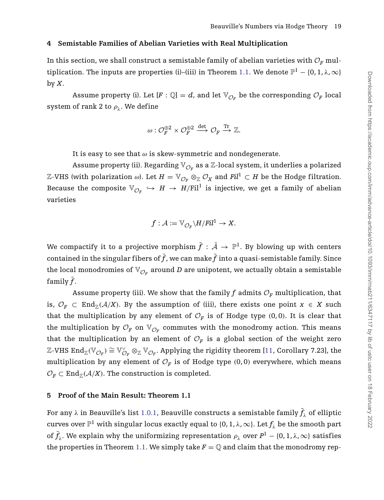## **4 Semistable Families of Abelian Varieties with Real Multiplication**

In this section, we shall construct a semistable family of abelian varieties with  $\mathcal{O}_F$  mul-tiplication. The inputs are properties (i)–(iii) in Theorem [1.1.](#page-1-0) We denote  $\mathbb{P}^1 - \{0, 1, \lambda, \infty\}$ by *X*.

Assume property (i). Let  $[F: \mathbb{Q}] = d$ , and let  $\mathbb{V}_{\mathcal{O}_F}$  be the corresponding  $\mathcal{O}_F$  local system of rank 2 to  $\rho_{\lambda}$ . We define

$$
\omega: \mathcal{O}_F^{\oplus 2} \times \mathcal{O}_F^{\oplus 2} \xrightarrow{\det} \mathcal{O}_F \xrightarrow{\mathrm{Tr}} \mathbb{Z}.
$$

It is easy to see that *ω* is skew-symmetric and nondegenerate.

Assume property (ii). Regarding  $\mathbb{V}_{\mathcal{O}_F}$  as a  $\mathbb{Z}$ -local system, it underlies a polarized  $\mathbb{Z}-V$ HS (with polarization ω). Let  $H = \mathbb{V}_{\mathcal{O}_F} ⊗_{\mathbb{Z}} \mathcal{O}_X$  and  $Fil^1 ⊂ H$  be the Hodge filtration. Because the composite  $\mathbb{V}_{\mathcal{O}_F} \hookrightarrow H \rightarrow H/\text{Fil}^1$  is injective, we get a family of abelian varieties

$$
f: \mathcal{A} := \mathbb{V}_{\mathcal{O}_F} \backslash H / Fil^1 \to X.
$$

We compactify it to a projective morphism  $\bar{f}:\bar{\mathcal{A}}\to \mathbb{P}^1.$  By blowing up with centers contained in the singular fibers of  $\bar{f}$  , we can make  $\bar{f}$  into a quasi-semistable family. Since the local monodromies of  $\mathbb{V}_{\mathcal{O}_F}$  around *D* are unipotent, we actually obtain a semistable family  $\bar{f}$ .

Assume property (iii). We show that the family  $f$  admits  $\mathcal{O}_F$  multiplication, that is,  $\mathcal{O}_F \subset \text{End}_{\mathbb{Z}}(\mathcal{A}/X)$ . By the assumption of (iii), there exists one point  $x \in X$  such that the multiplication by any element of  $\mathcal{O}_F$  is of Hodge type (0,0). It is clear that the multiplication by  $\mathcal{O}_F$  on  $\mathbb{V}_{\mathcal{O}_F}$  commutes with the monodromy action. This means that the multiplication by an element of  $\mathcal{O}_F$  is a global section of the weight zero  $\mathbb{Z}\text{-}{\rm VHS}$  End $_\mathbb{Z}(\mathbb{V}_{\mathcal{O}_F})\cong \mathbb{V}_{\mathcal{O}_F}^\vee\otimes_\mathbb{Z}\mathbb{V}_{\mathcal{O}_F}.$  Applying the rigidity theorem [\[11,](#page-21-9) Corollary 7.23], the multiplication by any element of  $\mathcal{O}_F$  is of Hodge type (0,0) everywhere, which means  $\mathcal{O}_F \subset \text{End}_{\mathbb{Z}}(\mathcal{A}/X)$ . The construction is completed.

## <span id="page-18-0"></span>**5 Proof of the Main Result: Theorem 1.1**

For any  $\lambda$  in Beauville's list [1.0.1,](#page-0-0) Beauville constructs a semistable family  $\bar{f}_\lambda$  of elliptic curves over  $\mathbb{P}^1$  with singular locus exactly equal to  $\{0, 1, \lambda, \infty\}$ . Let  $f_\lambda$  be the smooth part of  $\bar{f}_{\lambda}$ . We explain why the uniformizing representation  $\rho_{\lambda}$  over  $P^1-\{0,1,\lambda,\infty\}$  satisfies the properties in Theorem [1.1.](#page-1-0) We simply take  $F = \mathbb{Q}$  and claim that the monodromy rep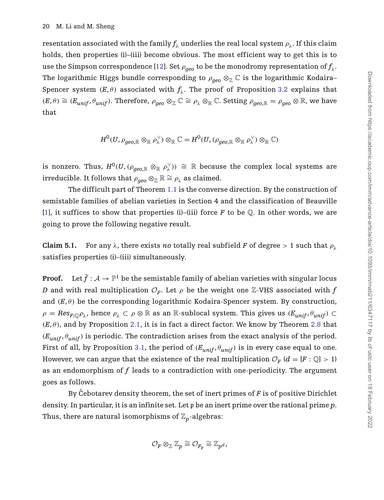resentation associated with the family  $f_\lambda$  underlies the real local system  $\rho_\lambda$ . If this claim holds, then properties (i)–(iii) become obvious. The most efficient way to get this is to use the Simpson correspondence [\[12\]](#page-21-1). Set  $\rho_{q\acute{e}q}$  to be the monodromy representation of  $f_{\lambda}$ . The logarithmic Higgs bundle corresponding to  $\rho_{qeo} \otimes_{\mathbb{Z}} \mathbb{C}$  is the logarithmic Kodaira– Spencer system  $(E, \theta)$  associated with  $f_{\lambda}$ . The proof of Proposition [3.2](#page-11-0) explains that  $(E, \theta) \cong (E_{unif}, \theta_{unif})$ . Therefore,  $\rho_{geo} \otimes_{\mathbb{Z}} \mathbb{C} \cong \rho_{\lambda} \otimes_{\mathbb{R}} \mathbb{C}$ . Setting  $\rho_{geo, \mathbb{R}} = \rho_{geo} \otimes \mathbb{R}$ , we have that

$$
H^0(U,\rho_{geo,\mathbb{R}}\otimes_{\mathbb{R}} \rho_\lambda^\vee)\otimes_{\mathbb{R}} \mathbb{C}=H^0(U,(\rho_{geo,\mathbb{R}}\otimes_{\mathbb{R}} \rho_\lambda^\vee)\otimes_{\mathbb{R}} \mathbb{C})
$$

is nonzero. Thus,  $H^0(U, (\rho_{geo, \mathbb{R}} \otimes_{\mathbb{R}} \rho_\lambda^\vee)) \cong \mathbb{R}$  because the complex local systems are irreducible. It follows that  $\rho_{\text{gen}} \otimes_{\mathbb{Z}} \mathbb{R} \cong \rho_{\lambda}$  as claimed.

The difficult part of Theorem [1.1](#page-1-0) is the converse direction. By the construction of semistable families of abelian varieties in Section 4 and the classification of Beauville [\[1\]](#page-20-0), it suffices to show that properties (i)–(iii) force  $F$  to be  $\mathbb Q$ . In other words, we are going to prove the following negative result.

**Claim 5.1.** For any  $\lambda$ , there exists *no* totally real subfield *F* of degree  $>1$  such that  $\rho_{\lambda}$ satisfies properties (i)–(iii) simultaneously.

**Proof.** Let  $\bar{f}:\mathcal{A}\to\mathbb{P}^1$  be the semistable family of abelian varieties with singular locus *D* and with real multiplication  $\mathcal{O}_F$ . Let  $\rho$  be the weight one Z-VHS associated with  $f$ and  $(E, \theta)$  be the corresponding logarithmic Kodaira-Spencer system. By construction,  $\rho = Res_{F \cap P_\lambda}$ , hence  $\rho_\lambda \subset \rho \otimes \mathbb{R}$  as an R-sublocal system. This gives us  $(E_{unif}, \theta_{unif}) \subset$  $(E, \theta)$ , and by Proposition [2.1,](#page-3-1) it is in fact a direct factor. We know by Theorem [2.8](#page-7-0) that  $(E_{unif}, \theta_{unif})$  is periodic. The contradiction arises from the exact analysis of the period. First of all, by Proposition [3.1,](#page-10-0) the period of  $(E_{unif}, \theta_{unif})$  is in every case equal to one. However, we can argue that the existence of the real multiplication  $\mathcal{O}_F$  ( $d = [F : \mathbb{Q}] > 1$ ) as an endomorphism of *f* leads to a contradiction with one-periodicity. The argument goes as follows.

By Cebotarev density theorem, the set of inert primes of F is of positive Dirichlet density. In particular, it is an infinite set. Let p be an inert prime over the rational prime *p*. Thus, there are natural isomorphisms of  $\mathbb{Z}_p$ -algebras:

$$
\mathcal{O}_F \otimes_{\mathbb{Z}} \mathbb{Z}_p \cong \mathcal{O}_{F_{\mathfrak{p}}} \cong \mathbb{Z}_{p^d}.
$$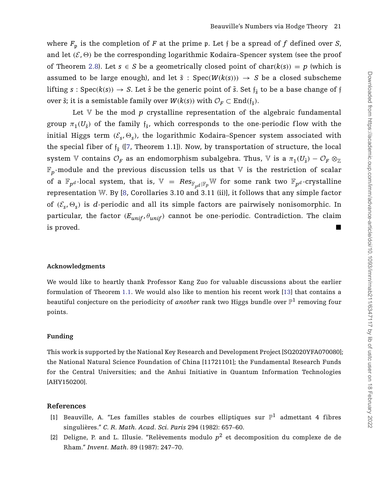where  $F_p$  is the completion of *F* at the prime p. Let *f* be a spread of *f* defined over *S*, and let  $(\mathcal{E}, \Theta)$  be the corresponding logarithmic Kodaira–Spencer system (see the proof of Theorem [2.8\)](#page-7-0). Let  $s \in S$  be a geometrically closed point of char $(k(s)) = p$  (which is assumed to be large enough), and let  $\tilde{s}$  : Spec( $W(k(s))$ )  $\rightarrow$  *S* be a closed subscheme lifting  $s : \text{Spec}(k(s)) \to S$ . Let  $\hat{s}$  be the generic point of  $\tilde{s}$ . Set  $f_{\tilde{s}}$  to be a base change of f over  $\tilde{s}$ ; it is a semistable family over  $W(k(s))$  with  $\mathcal{O}_F \subset \text{End}(\mathfrak{f}_{\tilde{s}})$ .

Let  $V$  be the mod  $p$  crystalline representation of the algebraic fundamental group  $\pi_1(U_{\hat{g}})$  of the family  $f_{\tilde{g}}$ , which corresponds to the one-periodic flow with the initial Higgs term  $(\mathcal{E}_s, \Theta_s)$ , the logarithmic Kodaira–Spencer system associated with the special fiber of  $f_{\tilde{s}}$  ([\[7,](#page-21-8) Theorem 1.1]). Now, by transportation of structure, the local system V contains  $\mathcal{O}_F$  as an endomorphism subalgebra. Thus, V is a  $\pi_1(U_{\hat{s}}) - \mathcal{O}_F \otimes_{\mathbb{Z}}$  $\mathbb{F}_p$ -module and the previous discussion tells us that V is the restriction of scalar of a  $\mathbb{F}_{p^d}$ -local system, that is,  $\mathbb{V} = Res_{\mathbb{F}_{p^d} | \mathbb{F}_p} \mathbb{W}$  for some rank two  $\mathbb{F}_{p^d}$ -crystalline representation W. By [\[8,](#page-21-2) Corollaries 3.10 and 3.11 (ii)], it follows that any simple factor of  $(\mathcal{E}_s, \Theta_s)$  is *d*-periodic and all its simple factors are pairwisely nonisomorphic. In particular, the factor  $(E_{unif}, \theta_{unif})$  cannot be one-periodic. Contradiction. The claim is proved. -

## **Acknowledgments**

We would like to heartly thank Professor Kang Zuo for valuable discussions about the earlier formulation of Theorem [1.1.](#page-1-0) We would also like to mention his recent work [\[13\]](#page-21-3) that contains a beautiful conjecture on the periodicity of *another* rank two Higgs bundle over  $\mathbb{P}^1$  removing four points.

## **Funding**

This work is supported by the National Key Research and Development Project [SQ2020YFA070080]; the National Natural Science Foundation of China [11721101]; the Fundamental Research Funds for the Central Universities; and the Anhui Initiative in Quantum Information Technologies [AHY150200].

## **References**

- <span id="page-20-0"></span>[1] Beauville, A. "Les familles stables de courbes elliptiques sur  $\mathbb{P}^1$  admettant 4 fibres singulières." *C. R. Math. Acad. Sci. Paris* 294 (1982): 657–60.
- <span id="page-20-1"></span>[2] Deligne, P. and L. Illusie. "Relèvements modulo  $p^2$  et decomposition du complexe de de Rham." *Invent. Math.* 89 (1987): 247–70.